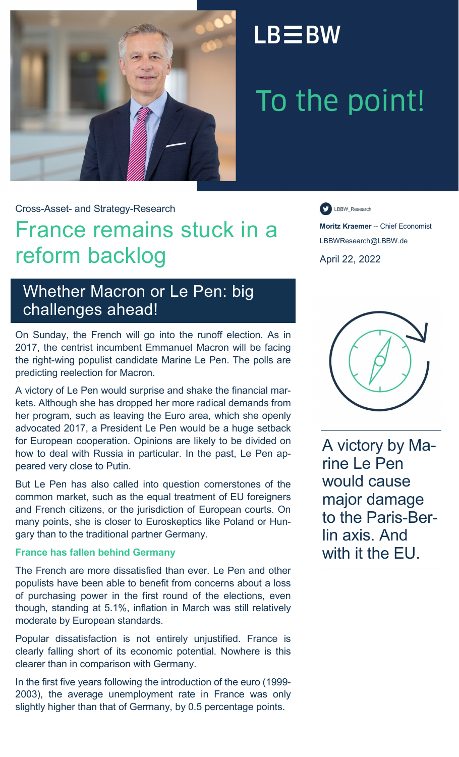

# $LB \equiv BW$

# To the point!

Cross-Asset- and Strategy-Research

## France remains stuck in a reform backlog

LBBW\_Research

**Moritz Kraemer** -- Chief Economist LBBWResearch@LBBW.de April 22, 2022

## Whether Macron or Le Pen: big challenges ahead!

On Sunday, the French will go into the runoff election. As in 2017, the centrist incumbent Emmanuel Macron will be facing the right-wing populist candidate Marine Le Pen. The polls are predicting reelection for Macron.

A victory of Le Pen would surprise and shake the financial markets. Although she has dropped her more radical demands from her program, such as leaving the Euro area, which she openly advocated 2017, a President Le Pen would be a huge setback for European cooperation. Opinions are likely to be divided on how to deal with Russia in particular. In the past, Le Pen appeared very close to Putin.

But Le Pen has also called into question cornerstones of the common market, such as the equal treatment of EU foreigners and French citizens, or the jurisdiction of European courts. On many points, she is closer to Euroskeptics like Poland or Hungary than to the traditional partner Germany.

## **France has fallen behind Germany**

The French are more dissatisfied than ever. Le Pen and other populists have been able to benefit from concerns about a loss of purchasing power in the first round of the elections, even though, standing at 5.1%, inflation in March was still relatively moderate by European standards.

Popular dissatisfaction is not entirely unjustified. France is clearly falling short of its economic potential. Nowhere is this clearer than in comparison with Germany.

In the first five years following the introduction of the euro (1999- 2003), the average unemployment rate in France was only slightly higher than that of Germany, by 0.5 percentage points.



A victory by Marine Le Pen would cause major damage to the Paris-Berlin axis. And with it the EU.